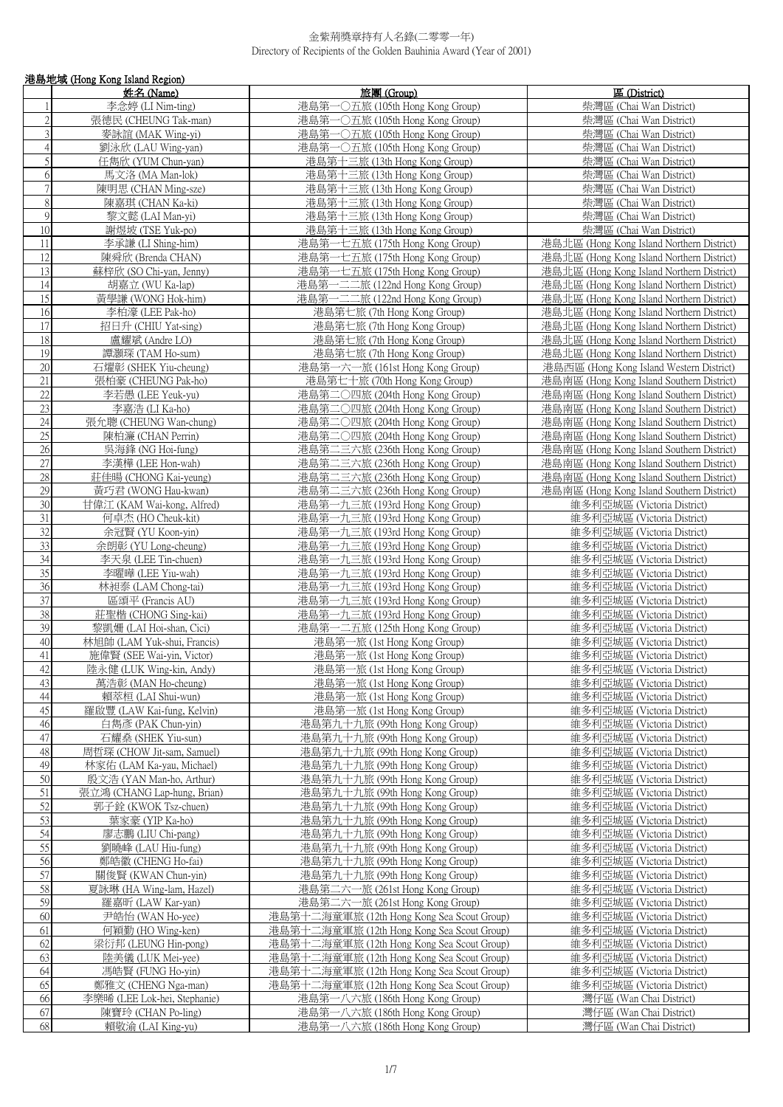|                | 港島地域 (Hong Kong Island Region) |                                            |                                           |
|----------------|--------------------------------|--------------------------------------------|-------------------------------------------|
|                | 姓名 (Name)                      | 旅團 (Group)                                 | 區 (District)                              |
| 1              | 李念婷 (LI Nim-ting)              | 港島第一○五旅 (105th Hong Kong Group)            | 柴灣區 (Chai Wan District)                   |
| $\overline{2}$ | 張德民 (CHEUNG Tak-man)           | 港島第一〇五旅 (105th Hong Kong Group)            | 柴灣區 (Chai Wan District)                   |
| $\overline{3}$ | 麥詠誼 (MAK Wing-yi)              | 港島第一〇五旅 (105th Hong Kong Group)            | 柴灣區 (Chai Wan District)                   |
| $\overline{4}$ | 劉泳欣 (LAU Wing-yan)             | 港島第一〇五旅 (105th Hong Kong Group)            | 柴灣區 (Chai Wan District)                   |
| 5              | 任雋欣 (YUM Chun-yan)             | 港島第十三旅 (13th Hong Kong Group)              | 柴灣區 (Chai Wan District)                   |
| $\sqrt{6}$     | 馬文洛 (MA Man-lok)               | 港島第十三旅 (13th Hong Kong Group)              | 柴灣區 (Chai Wan District)                   |
| $\overline{7}$ | 陳明思 (CHAN Ming-sze)            | 港島第十三旅 (13th Hong Kong Group)              | 柴灣區 (Chai Wan District)                   |
| $\,8\,$        | 陳嘉琪 (CHAN Ka-ki)               | 港島第十三旅 (13th Hong Kong Group)              | 柴灣區 (Chai Wan District)                   |
| $\overline{9}$ | 黎文懿 (LAI Man-yi)               | 港島第十三旅 (13th Hong Kong Group)              | 柴灣區 (Chai Wan District)                   |
| $10\,$         |                                | 港島第十三旅 (13th Hong Kong Group)              |                                           |
|                | 謝煜坡 (TSE Yuk-po)               |                                            | 柴灣區 (Chai Wan District)                   |
| 11             | 李承謙 (LI Shing-him)             | 港島第一七五旅 (175th Hong Kong Group)            | 港島北區 (Hong Kong Island Northern District) |
| 12             | 陳舜欣 (Brenda CHAN)              | 港島第一七五旅 (175th Hong Kong Group)            | 港島北區 (Hong Kong Island Northern District) |
| 13             | 蘇梓欣 (SO Chi-yan, Jenny)        | 港島第一七五旅 (175th Hong Kong Group)            | 港島北區 (Hong Kong Island Northern District) |
| 14             | 胡嘉立 (WU Ka-lap)                | 港島第一二二旅 (122nd Hong Kong Group)            | 港島北區 (Hong Kong Island Northern District) |
| 15             | 黃學謙 (WONG Hok-him)             | 港島第一二二旅 (122nd Hong Kong Group)            | 港島北區 (Hong Kong Island Northern District) |
| 16             | 李柏濠 (LEE Pak-ho)               | 港島第七旅 (7th Hong Kong Group)                | 港島北區 (Hong Kong Island Northern District) |
| 17             | 招日升 (CHIU Yat-sing)            | 港島第七旅 (7th Hong Kong Group)                | 港島北區 (Hong Kong Island Northern District) |
| 18             | 盧耀斌 (Andre LO)                 | 港島第七旅 (7th Hong Kong Group)                | 港島北區 (Hong Kong Island Northern District) |
| 19             | 譚灝琛 (TAM Ho-sum)               | 港島第七旅 (7th Hong Kong Group)                | 港島北區 (Hong Kong Island Northern District) |
| 20             | 石燿彰 (SHEK Yiu-cheung)          | 港島第一六一旅 (161st Hong Kong Group)            | 港島西區 (Hong Kong Island Western District)  |
| 21             | 張柏豪 (CHEUNG Pak-ho)            | 港島第七十旅 (70th Hong Kong Group)              | 港島南區 (Hong Kong Island Southern District) |
| 22             | 李若愚 (LEE Yeuk-yu)              | 港島第二○四旅 (204th Hong Kong Group)            | 港島南區 (Hong Kong Island Southern District) |
| 23             | 李嘉浩 (LI Ka-ho)                 | 港島第二〇四旅 (204th Hong Kong Group)            | 港島南區 (Hong Kong Island Southern District) |
| 24             | 張允聰 (CHEUNG Wan-chung)         | 港島第二〇四旅 (204th Hong Kong Group)            | 港島南區 (Hong Kong Island Southern District) |
| 25             |                                |                                            | 港島南區 (Hong Kong Island Southern District) |
|                | 陳柏濂 (CHAN Perrin)              | 港島第二○四旅 (204th Hong Kong Group)            |                                           |
| 26             | 吳海鋒 (NG Hoi-fung)              | 港島第二三六旅 (236th Hong Kong Group)            | 港島南區 (Hong Kong Island Southern District) |
| 27             | 李漢樺 (LEE Hon-wah)              | 港島第二三六旅 (236th Hong Kong Group)            | 港島南區 (Hong Kong Island Southern District) |
| 28             | 莊佳暘 (CHONG Kai-yeung)          | 港島第二三六旅 (236th Hong Kong Group)            | 港島南區 (Hong Kong Island Southern District) |
| 29             | 黃巧君 (WONG Hau-kwan)            | 港島第二三六旅 (236th Hong Kong Group)            | 港島南區 (Hong Kong Island Southern District) |
| 30             | 甘偉江 (KAM Wai-kong, Alfred)     | 港島第一九三旅 (193rd Hong Kong Group)            | 維多利亞城區 (Victoria District)                |
| $31\,$         | 何卓杰 (HO Cheuk-kit)             | 港島第一九三旅 (193rd Hong Kong Group)            | 維多利亞城區 (Victoria District)                |
| 32             | 余冠賢 (YU Koon-yin)              | 港島第一九三旅 (193rd Hong Kong Group)            | 維多利亞城區 (Victoria District)                |
| 33             | 余朗彰 (YU Long-cheung)           | 港島第一九三旅 (193rd Hong Kong Group)            | 維多利亞城區 (Victoria District)                |
| 34             | 李天泉 (LEE Tin-chuen)            | 港島第一九三旅 (193rd Hong Kong Group)            | 維多利亞城區 (Victoria District)                |
| 35             | 李曜曄 (LEE Yiu-wah)              | 港島第一九三旅 (193rd Hong Kong Group)            | 維多利亞城區 (Victoria District)                |
| 36             | 林昶泰 (LAM Chong-tai)            | 港島第一九三旅 (193rd Hong Kong Group)            | 維多利亞城區 (Victoria District)                |
| 37             | 區頌平 (Francis AU)               | 港島第一九三旅 (193rd Hong Kong Group)            | 維多利亞城區 (Victoria District)                |
| 38             | 莊聖楷 (CHONG Sing-kai)           | 港島第一九三旅 (193rd Hong Kong Group)            | 維多利亞城區 (Victoria District)                |
| 39             | 黎凱姍 (LAI Hoi-shan, Cici)       | 港島第一二五旅 (125th Hong Kong Group)            | 維多利亞城區 (Victoria District)                |
| 40             | 林旭帥 (LAM Yuk-shui, Francis)    | 港島第一旅 (1st Hong Kong Group)                | 維多利亞城區 (Victoria District)                |
| 41             | 施偉賢 (SEE Wai-yin, Victor)      | 港島第一旅 (1st Hong Kong Group)                | 維多利亞城區 (Victoria District)                |
| 42             | 陸永健 (LUK Wing-kin, Andy)       | 港島第一旅 (1st Hong Kong Group)                | 維多利亞城區 (Victoria District)                |
| 43             | 萬浩彰 (MAN Ho-cheung)            | 港島第一旅 (1st Hong Kong Group)                | 維多利亞城區 (Victoria District)                |
|                |                                |                                            |                                           |
| 44<br>45       | 賴萃桓 (LAI Shui-wun)             | 港島第一旅 (1st Hong Kong Group)                | 維多利亞城區 (Victoria District)                |
|                | 羅啟豐 (LAW Kai-fung, Kelvin)     | 港島第一旅 (1st Hong Kong Group)                | 維多利亞城區 (Victoria District)                |
| 46             | 白雋彥 (PAK Chun-yin)             | 港島第九十九旅 (99th Hong Kong Group)             | 維多利亞城區 (Victoria District)                |
| 47             | 石耀桑 (SHEK Yiu-sun)             | 港島第九十九旅 (99th Hong Kong Group)             | 維多利亞城區 (Victoria District)                |
| 48             | 周哲琛 (CHOW Jit-sam, Samuel)     | 港島第九十九旅 (99th Hong Kong Group)             | 維多利亞城區 (Victoria District)                |
| 49             | 林家佑 (LAM Ka-yau, Michael)      | 港島第九十九旅 (99th Hong Kong Group)             | 維多利亞城區 (Victoria District)                |
| 50             | 殷文浩 (YAN Man-ho, Arthur)       | 港島第九十九旅 (99th Hong Kong Group)             | 維多利亞城區 (Victoria District)                |
| 51             | 張立鴻 (CHANG Lap-hung, Brian)    | 港島第九十九旅 (99th Hong Kong Group)             | 維多利亞城區 (Victoria District)                |
| 52             | 郭子銓 (KWOK Tsz-chuen)           | 港島第九十九旅 (99th Hong Kong Group)             | 維多利亞城區 (Victoria District)                |
| 53             | 葉家豪 (YIP Ka-ho)                | 港島第九十九旅 (99th Hong Kong Group)             | 維多利亞城區 (Victoria District)                |
| 54             | 廖志鵬 (LIU Chi-pang)             | 港島第九十九旅 (99th Hong Kong Group)             | 維多利亞城區 (Victoria District)                |
| 55             | 劉曉峰 (LAU Hiu-fung)             | 港島第九十九旅 (99th Hong Kong Group)             | 維多利亞城區 (Victoria District)                |
| 56             | 鄭皓徽 (CHENG Ho-fai)             | 港島第九十九旅 (99th Hong Kong Group)             | 維多利亞城區 (Victoria District)                |
| 57             | 關俊賢 (KWAN Chun-yin)            | 港島第九十九旅 (99th Hong Kong Group)             | 維多利亞城區 (Victoria District)                |
| 58             | 夏詠琳 (HA Wing-lam, Hazel)       | 港島第二六一旅 (261st Hong Kong Group)            | 維多利亞城區 (Victoria District)                |
| 59             | 羅嘉昕 (LAW Kar-yan)              | 港島第二六一旅 (261st Hong Kong Group)            | 維多利亞城區 (Victoria District)                |
| 60             | 尹皓怡 (WAN Ho-yee)               | 港島第十二海童軍旅 (12th Hong Kong Sea Scout Group) | 維多利亞城區 (Victoria District)                |
| 61             | 何穎勤 (HO Wing-ken)              | 港島第十二海童軍旅 (12th Hong Kong Sea Scout Group) | 維多利亞城區 (Victoria District)                |
| 62             | 梁衍邦 (LEUNG Hin-pong)           | 港島第十二海童軍旅 (12th Hong Kong Sea Scout Group) | 維多利亞城區 (Victoria District)                |
| 63             | 陸美儀 (LUK Mei-yee)              | 港島第十二海童軍旅 (12th Hong Kong Sea Scout Group) | 維多利亞城區 (Victoria District)                |
|                |                                |                                            |                                           |
| 64             | 馮皓賢 (FUNG Ho-yin)              | 港島第十二海童軍旅 (12th Hong Kong Sea Scout Group) | 維多利亞城區 (Victoria District)                |
| 65             | 鄭雅文 (CHENG Nga-man)            | 港島第十二海童軍旅 (12th Hong Kong Sea Scout Group) | 維多利亞城區 (Victoria District)                |
| 66             | 李樂晞 (LEE Lok-hei, Stephanie)   | 港島第一八六旅 (186th Hong Kong Group)            | 灣仔區 (Wan Chai District)                   |
| 67             | 陳寶玲 (CHAN Po-ling)             | 港島第一八六旅 (186th Hong Kong Group)            | 灣仔區 (Wan Chai District)                   |
| 68             | 賴敬渝 (LAI King-yu)              | 港島第一八六旅 (186th Hong Kong Group)            | 灣仔區 (Wan Chai District)                   |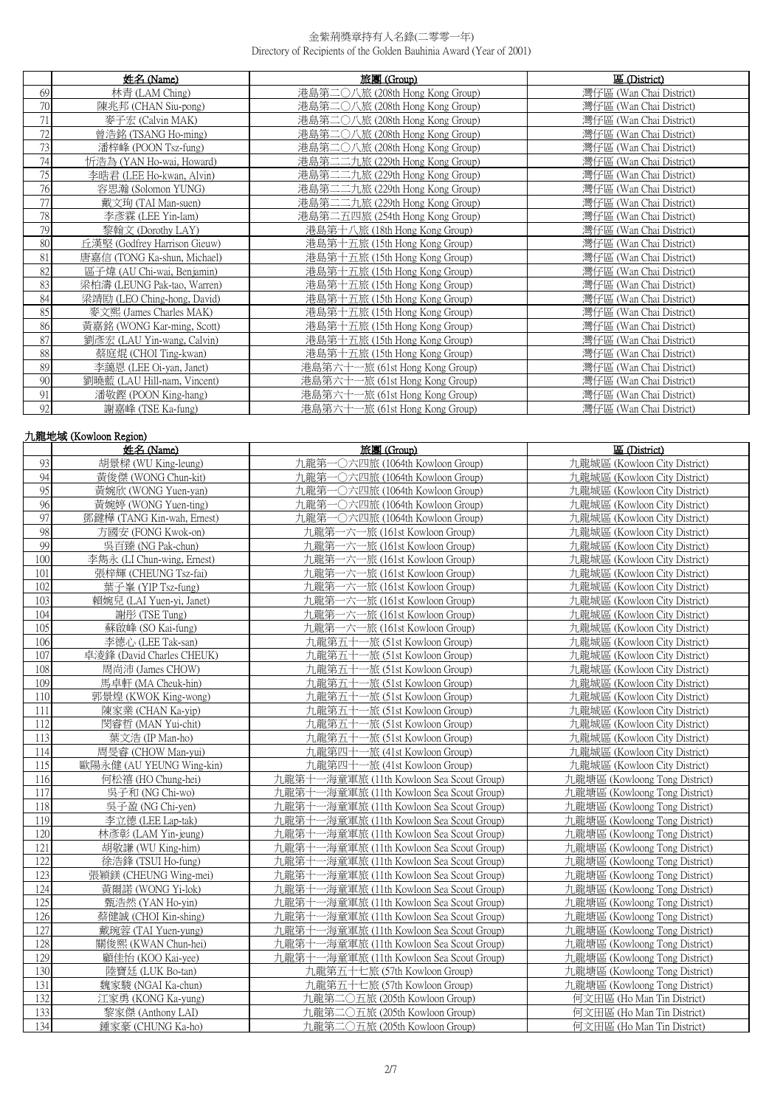|        | 姓名 (Name)                    | 旅團 (Group)                         | 區 (District)            |
|--------|------------------------------|------------------------------------|-------------------------|
| 69     | 林青 (LAM Ching)               | 港島第二〇八旅 (208th Hong Kong Group)    | 灣仔區 (Wan Chai District) |
| 70     | 陳兆邦 (CHAN Siu-pong)          | 港島第二〇八旅 (208th Hong Kong Group)    | 灣仔區 (Wan Chai District) |
| 71     | 麥子宏 (Calvin MAK)             | 港島第二〇八旅 (208th Hong Kong Group)    | 灣仔區 (Wan Chai District) |
| 72     | 曾浩銘 (TSANG Ho-ming)          | 港島第二〇八旅 (208th Hong Kong Group)    | 灣仔區 (Wan Chai District) |
| 73     | 潘梓峰 (POON Tsz-fung)          | 港島第二○八旅 (208th Hong Kong Group)    | 灣仔區 (Wan Chai District) |
| 74     | 忻浩為 (YAN Ho-wai, Howard)     | 港島第二二九旅 (229th Hong Kong Group)    | 灣仔區 (Wan Chai District) |
| 75     | 李晧君 (LEE Ho-kwan, Alvin)     | 港島第二二九旅 (229th Hong Kong Group)    | 灣仔區 (Wan Chai District) |
| 76     | 容思瀚 (Solomon YUNG)           | 港島第二二九旅 (229th Hong Kong Group)    | 灣仔區 (Wan Chai District) |
| 77     | 戴文珣 (TAI Man-suen)           | 港島第二二九旅 (229th Hong Kong Group)    | 灣仔區 (Wan Chai District) |
| 78     | 李彥霖 (LEE Yin-lam)            | 港島第二五四旅 (254th Hong Kong Group)    | 灣仔區 (Wan Chai District) |
| 79     | 黎翰文 (Dorothy LAY)            | 港島第十八旅 (18th Hong Kong Group)      | 灣仔區 (Wan Chai District) |
| 80     | 丘漢堅 (Godfrey Harrison Gieuw) | 港島第十五旅 (15th Hong Kong Group)      | 灣仔區 (Wan Chai District) |
| 81     | 唐嘉信 (TONG Ka-shun, Michael)  | 港島第十五旅 (15th Hong Kong Group)      | 灣仔區 (Wan Chai District) |
| 82     | 區子煒 (AU Chi-wai, Benjamin)   | 港島第十五旅 (15th Hong Kong Group)      | 灣仔區 (Wan Chai District) |
| 83     | 梁柏濤 (LEUNG Pak-tao, Warren)  | 港島第十五旅 (15th Hong Kong Group)      | 灣仔區 (Wan Chai District) |
| 84     | 梁靖劻 (LEO Ching-hong, David)  | 港島第十五旅 (15th Hong Kong Group)      | 灣仔區 (Wan Chai District) |
| 85     | 麥文熙 (James Charles MAK)      | 港島第十五旅 (15th Hong Kong Group)      | 灣仔區 (Wan Chai District) |
| 86     | 黃嘉銘 (WONG Kar-ming, Scott)   | 港島第十五旅 (15th Hong Kong Group)      | 灣仔區 (Wan Chai District) |
| 87     | 劉彥宏 (LAU Yin-wang, Calvin)   | 港島第十五旅 (15th Hong Kong Group)      | 灣仔區 (Wan Chai District) |
| 88     | 蔡庭焜 (CHOI Ting-kwan)         | 港島第十五旅 (15th Hong Kong Group)      | 灣仔區 (Wan Chai District) |
| 89     | 李藹恩 (LEE Oi-yan, Janet)      | 港島第六十一旅 (61st Hong Kong Group)     | 灣仔區 (Wan Chai District) |
| $90\,$ | 劉曉藍 (LAU Hill-nam, Vincent)  | 港島第六十一旅 (61st Hong Kong Group)     | 灣仔區 (Wan Chai District) |
| 91     | 潘敬鏗 (POON King-hang)         | 港島第六十<br>一旅 (61st Hong Kong Group) | 灣仔區 (Wan Chai District) |
| 92     | 謝嘉峰 (TSE Ka-fung)            | 港島第六十<br>一旅 (61st Hong Kong Group) | 灣仔區 (Wan Chai District) |

# 九龍地域 (Kowloon Region)

|                  | 姓名 (Name)                                                  | 旅團 (Group)                               | 區 (District)                  |
|------------------|------------------------------------------------------------|------------------------------------------|-------------------------------|
| 93               | 胡景樑 (WU King-leung)<br>力龍第<br>-〇六四旅 (1064th Kowloon Group) |                                          | 九龍城區 (Kowloon City District)  |
| 94               | 黃俊傑 (WONG Chun-kit)                                        | 九龍第一〇六四旅 (1064th Kowloon Group)          | 九龍城區 (Kowloon City District)  |
| $\overline{95}$  | 黃婉欣 (WONG Yuen-van)                                        | 九龍第一〇六四旅 (1064th Kowloon Group)          | 力龍城區 (Kowloon City District)  |
| 96               | 黃婉婷 (WONG Yuen-ting)                                       | 九龍第一〇六四旅 (1064th Kowloon Group)          | 九龍城區 (Kowloon City District)  |
| 97               | 鄧鍵樺 (TANG Kin-wah, Ernest)                                 | 九龍第一〇六四旅 (1064th Kowloon Group)          | 九龍城區 (Kowloon City District)  |
| 98               | 方國安 (FONG Kwok-on)                                         | 九龍第一六一旅 (161st Kowloon Group)            | 九龍城區 (Kowloon City District)  |
| 99               | 吳百臻 (NG Pak-chun)                                          | 九龍第一六一旅 (161st Kowloon Group)            | 九龍城區 (Kowloon City District)  |
| $\overline{100}$ | 李雋永 (LI Chun-wing, Ernest)                                 | 九龍第一六一旅 (161st Kowloon Group)            | 九龍城區 (Kowloon City District)  |
| 101              | 張梓輝 (CHEUNG Tsz-fai)                                       | 九龍第一六一旅 (161st Kowloon Group)            | 九龍城區 (Kowloon City District)  |
| 102              | 葉子峯 (YIP Tsz-fung)                                         | 九龍第一六一旅 (161st Kowloon Group)            | 九龍城區 (Kowloon City District)  |
| 103              | 賴婉兒 (LAI Yuen-vi, Janet)                                   | 九龍第一六一旅 (161st Kowloon Group)            | 九龍城區 (Kowloon City District)  |
| 104              | 謝彤 (TSE Tung)                                              | 九龍第一六一旅 (161st Kowloon Group)            | 九龍城區 (Kowloon City District)  |
| 105              | 蘇啟峰 (SO Kai-fung)                                          | 九龍第一六一旅 (161st Kowloon Group)            | 九龍城區 (Kowloon City District)  |
| 106              | 李德心 (LEE Tak-san)                                          | 九龍第五十一旅 (51st Kowloon Group)             | 九龍城區 (Kowloon City District)  |
| 107              | 卓淩鋒 (David Charles CHEUK)                                  | 九龍第五十一旅 (51st Kowloon Group)             | 九龍城區 (Kowloon City District)  |
| 108              | 周尚沛 (James CHOW)                                           | 九龍第五十一旅 (51st Kowloon Group)             | 九龍城區 (Kowloon City District)  |
| 109              | 馬卓軒 (MA Cheuk-hin)                                         | 九龍第五十一旅 (51st Kowloon Group)             | 九龍城區 (Kowloon City District)  |
| 110              | 郭景煌 (KWOK King-wong)                                       | 九龍第五十一旅 (51st Kowloon Group)             | 九龍城區 (Kowloon City District)  |
| 111              | 陳家業 (CHAN Ka-yip)                                          | 九龍第五十一旅 (51st Kowloon Group)             | 九龍城區 (Kowloon City District)  |
| 112              | 閔睿哲 (MAN Yui-chit)                                         | 九龍第五十一旅 (51st Kowloon Group)             | 九龍城區 (Kowloon City District)  |
| 113              | 葉文浩 (IP Man-ho)                                            | 九龍第五十一旅 (51st Kowloon Group)             | 九龍城區 (Kowloon City District)  |
| 114              | 周旻睿 (CHOW Man-yui)                                         | 九龍第四十一旅 (41st Kowloon Group)             | 九龍城區 (Kowloon City District)  |
| 115              | 歐陽永健 (AU YEUNG Wing-kin)                                   | 九龍第四十一旅 (41st Kowloon Group)             | 九龍城區 (Kowloon City District)  |
| 116              | 何松禧 (HO Chung-hei)                                         | 九龍第十一海童軍旅 (11th Kowloon Sea Scout Group) | 九龍塘區 (Kowloong Tong District) |
| 117              | 吳子和 (NG Chi-wo)                                            | 九龍第十一海童軍旅 (11th Kowloon Sea Scout Group) | 九龍塘區 (Kowloong Tong District) |
| 118              | 吳子盈 (NG Chi-yen)                                           | 九龍第十一海童軍旅 (11th Kowloon Sea Scout Group) | 九龍塘區 (Kowloong Tong District) |
| 119              | 李立德 (LEE Lap-tak)                                          | 九龍第十一海童軍旅 (11th Kowloon Sea Scout Group) | 九龍塘區 (Kowloong Tong District) |
| 120              | 林彥彰 (LAM Yin-jeung)                                        | 九龍第十一海童軍旅 (11th Kowloon Sea Scout Group) | 九龍塘區 (Kowloong Tong District) |
| 121              | 胡敬謙 (WU King-him)                                          | 九龍第十一海童軍旅 (11th Kowloon Sea Scout Group) | 九龍塘區 (Kowloong Tong District) |
| 122              | 徐浩鋒 (TSUI Ho-fung)                                         | 九龍第十一海童軍旅 (11th Kowloon Sea Scout Group) | 九龍塘區 (Kowloong Tong District) |
| 123              | 張穎鎂 (CHEUNG Wing-mei)                                      | 九龍第十一海童軍旅 (11th Kowloon Sea Scout Group) | 九龍塘區 (Kowloong Tong District) |
| 124              | 黃爾諾 (WONG Yi-lok)                                          | 九龍第十一海童軍旅 (11th Kowloon Sea Scout Group) | 九龍塘區 (Kowloong Tong District) |
| 125              | 甄浩然 (YAN Ho-yin)                                           | 九龍第十一海童軍旅 (11th Kowloon Sea Scout Group) | 九龍塘區 (Kowloong Tong District) |
| 126              | 蔡健誠 (CHOI Kin-shing)                                       | 九龍第十一海童軍旅 (11th Kowloon Sea Scout Group) | 九龍塘區 (Kowloong Tong District) |
| 127              | 戴琬蓉 (TAI Yuen-yung)                                        | 九龍第十一海童軍旅 (11th Kowloon Sea Scout Group) | 九龍塘區 (Kowloong Tong District) |
| 128              | 關俊熙 (KWAN Chun-hei)                                        | 九龍第十一海童軍旅 (11th Kowloon Sea Scout Group) | 九龍塘區 (Kowloong Tong District) |
| 129              | 顧佳怡 (KOO Kai-yee)                                          | 九龍第十一海童軍旅 (11th Kowloon Sea Scout Group) | 九龍塘區 (Kowloong Tong District) |
| 130              | 陸寶廷 (LUK Bo-tan)                                           | 九龍第五十七旅 (57th Kowloon Group)             | 九龍塘區 (Kowloong Tong District) |
| 131              | 魏家駿 (NGAI Ka-chun)                                         | 九龍第五十七旅 (57th Kowloon Group)             | 九龍塘區 (Kowloong Tong District) |
| 132              | 江家勇 (KONG Ka-yung)                                         | 九龍第二〇五旅 (205th Kowloon Group)            | 何文田區 (Ho Man Tin District)    |
| 133              | 黎家傑 (Anthony LAI)                                          | 九龍第二〇五旅 (205th Kowloon Group)            | 何文田區 (Ho Man Tin District)    |
| 134              | 鍾家豪 (CHUNG Ka-ho)                                          | 九龍第二〇五旅 (205th Kowloon Group)            | 何文田區 (Ho Man Tin District)    |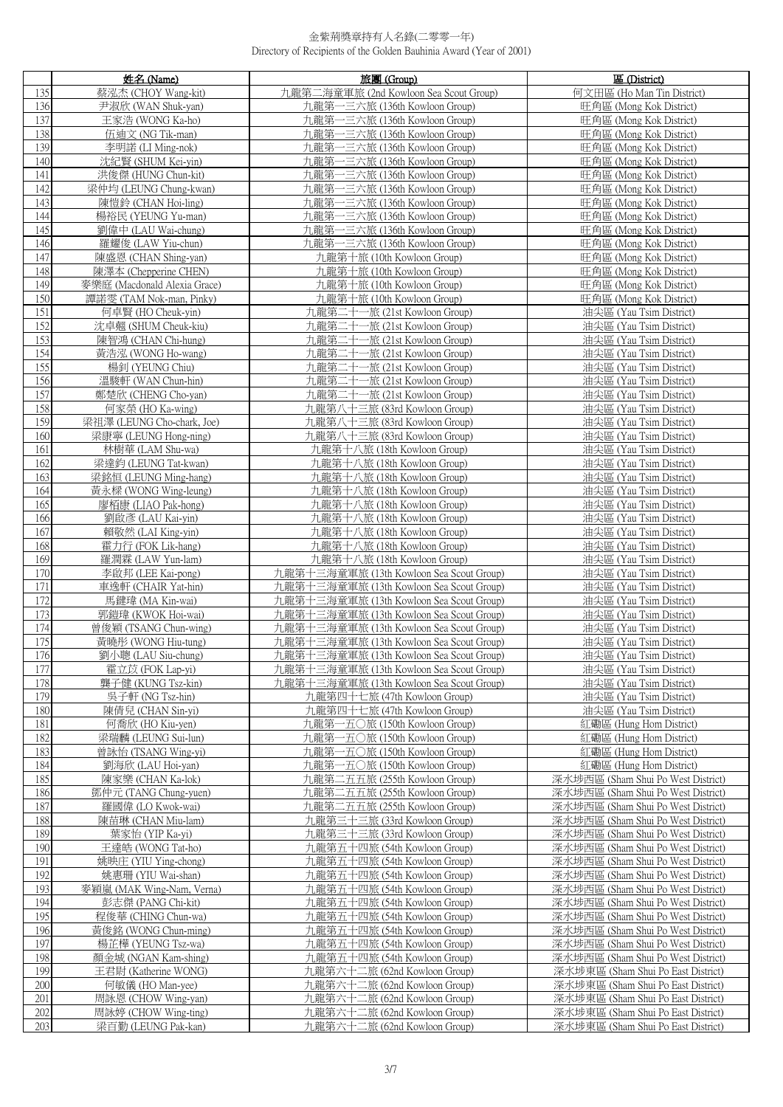|            | 姓名 (Name)                                                  | 旅團 (Group)                                                                           | 區 (District)                                                             |
|------------|------------------------------------------------------------|--------------------------------------------------------------------------------------|--------------------------------------------------------------------------|
| 135        | 蔡泓杰 (CHOY Wang-kit)                                        | 九龍第二海童軍旅 (2nd Kowloon Sea Scout Group)                                               | 何文田區 (Ho Man Tin District)                                               |
| 136        | 尹淑欣 (WAN Shuk-yan)                                         | 九龍第一三六旅 (136th Kowloon Group)                                                        | 旺角區 (Mong Kok District)                                                  |
| 137        | 王家浩 (WONG Ka-ho)                                           | 九龍第一三六旅 (136th Kowloon Group)                                                        | 旺角區 (Mong Kok District)                                                  |
| 138        | 伍迪文 (NG Tik-man)                                           | 九龍第一三六旅 (136th Kowloon Group)                                                        | 旺角區 (Mong Kok District)                                                  |
|            | 139<br>李明諾 (LI Ming-nok)<br>九龍第一三六旅 (136th Kowloon Group)  |                                                                                      | 旺角區 (Mong Kok District)                                                  |
|            | 140<br>沈紀賢 (SHUM Kei-yin)<br>九龍第一三六旅 (136th Kowloon Group) |                                                                                      | 旺角區 (Mong Kok District)                                                  |
| 141        | 洪俊傑 (HUNG Chun-kit)                                        | 九龍第一三六旅 (136th Kowloon Group)                                                        | 旺角區 (Mong Kok District)                                                  |
| 142        | 梁仲均 (LEUNG Chung-kwan)                                     | 九龍第一三六旅 (136th Kowloon Group)                                                        | 旺角區 (Mong Kok District)                                                  |
| 143        | 陳愷鈴 (CHAN Hoi-ling)                                        | 九龍第一三六旅 (136th Kowloon Group)                                                        | 旺角區 (Mong Kok District)                                                  |
| 144        | 楊裕民 (YEUNG Yu-man)                                         | 九龍第一三六旅 (136th Kowloon Group)                                                        | 旺角區 (Mong Kok District)                                                  |
| 145        | 劉偉中 (LAU Wai-chung)                                        | 九龍第一三六旅 (136th Kowloon Group)                                                        | 旺角區 (Mong Kok District)                                                  |
| 146<br>147 | 羅耀俊 (LAW Yiu-chun)<br>陳盛恩 (CHAN Shing-yan)                 | 九龍第一三六旅 (136th Kowloon Group)                                                        | 旺角區 (Mong Kok District)                                                  |
| 148        | 陳澤本 (Chepperine CHEN)                                      | 九龍第十旅 (10th Kowloon Group)<br>九龍第十旅 (10th Kowloon Group)                             | 旺角區 (Mong Kok District)<br>旺角區 (Mong Kok District)                       |
| 149        | 麥樂庭 (Macdonald Alexia Grace)                               | 九龍第十旅 (10th Kowloon Group)                                                           | 旺角區 (Mong Kok District)                                                  |
| 150        | 譚諾雯 (TAM Nok-man, Pinky)                                   | 九龍第十旅 (10th Kowloon Group)                                                           | 旺角區 (Mong Kok District)                                                  |
| 151        | 何卓賢 (HO Cheuk-yin)                                         | 九龍第二十一旅 (21st Kowloon Group)                                                         | 油尖區 (Yau Tsim District)                                                  |
| 152        | 沈卓翹 (SHUM Cheuk-kiu)                                       | 九龍第二十一旅 (21st Kowloon Group)                                                         | 油尖區 (Yau Tsim District)                                                  |
| 153        | 陳智鴻 (CHAN Chi-hung)                                        | 九龍第二十一旅 (21st Kowloon Group)                                                         | 油尖區 (Yau Tsim District)                                                  |
| 154        | 黃浩泓 (WONG Ho-wang)                                         | 九龍第二十一旅 (21st Kowloon Group)                                                         | 油尖區 (Yau Tsim District)                                                  |
| 155        | 楊釗 (YEUNG Chiu)                                            | 九龍第二十一旅 (21st Kowloon Group)                                                         | 油尖區 (Yau Tsim District)                                                  |
| 156        | 溫駿軒 (WAN Chun-hin)                                         | 九龍第二十一旅 (21st Kowloon Group)                                                         | 油尖區 (Yau Tsim District)                                                  |
| 157        | 鄭楚欣 (CHENG Cho-yan)                                        | 九龍第二十一旅 (21st Kowloon Group)                                                         | 油尖區 (Yau Tsim District)                                                  |
| 158        | 何家榮 (HO Ka-wing)                                           | 九龍第八十三旅 (83rd Kowloon Group)                                                         | 油尖區 (Yau Tsim District)                                                  |
| 159        | 梁祖澤 (LEUNG Cho-chark, Joe)                                 | 九龍第八十三旅 (83rd Kowloon Group)                                                         | 油尖區 (Yau Tsim District)                                                  |
| 160        | 梁康寧 (LEUNG Hong-ning)                                      | 九龍第八十三旅 (83rd Kowloon Group)                                                         | 油尖區 (Yau Tsim District)                                                  |
| 161        | 林樹華 (LAM Shu-wa)                                           | 九龍第十八旅 (18th Kowloon Group)                                                          | 油尖區 (Yau Tsim District)                                                  |
| 162        | 梁達鈞 (LEUNG Tat-kwan)                                       | 九龍第十八旅 (18th Kowloon Group)                                                          | 油尖區 (Yau Tsim District)                                                  |
| 163        | 梁銘恒 (LEUNG Ming-hang)                                      | 九龍第十八旅 (18th Kowloon Group)                                                          | 油尖區 (Yau Tsim District)                                                  |
| 164        | 黃永樑 (WONG Wing-leung)                                      | 九龍第十八旅 (18th Kowloon Group)                                                          | 油尖區 (Yau Tsim District)                                                  |
| 165        | 廖栢康 (LIAO Pak-hong)                                        | 九龍第十八旅 (18th Kowloon Group)                                                          | 油尖區 (Yau Tsim District)                                                  |
| 166        | 劉啟彥 (LAU Kai-yin)                                          | 九龍第十八旅 (18th Kowloon Group)                                                          | 油尖區 (Yau Tsim District)                                                  |
| 167        | 賴敬然 (LAI King-yin)                                         | 九龍第十八旅 (18th Kowloon Group)                                                          | 油尖區 (Yau Tsim District)                                                  |
| 168        | 霍力行 (FOK Lik-hang)                                         | 九龍第十八旅 (18th Kowloon Group)                                                          | 油尖區 (Yau Tsim District)                                                  |
| 169        | 羅潤霖 (LAW Yun-lam)                                          | 九龍第十八旅 (18th Kowloon Group)                                                          | 油尖區 (Yau Tsim District)                                                  |
| 170<br>171 | 李啟邦 (LEE Kai-pong)                                         | 九龍第十三海童軍旅 (13th Kowloon Sea Scout Group)                                             | 油尖區 (Yau Tsim District)                                                  |
| 172        | 車逸軒 (CHAIR Yat-hin)<br>馬鍵瑋 (MA Kin-wai)                    | 九龍第十三海童軍旅 (13th Kowloon Sea Scout Group)<br>九龍第十三海童軍旅 (13th Kowloon Sea Scout Group) | 油尖區 (Yau Tsim District)<br>油尖區 (Yau Tsim District)                       |
| 173        | 郭鎧瑋 (KWOK Hoi-wai)                                         | 九龍第十三海童軍旅 (13th Kowloon Sea Scout Group)                                             | 油尖區 (Yau Tsim District)                                                  |
| 174        | 曾俊穎 (TSANG Chun-wing)                                      | 九龍第十三海童軍旅 (13th Kowloon Sea Scout Group)                                             | 油尖區 (Yau Tsim District)                                                  |
| 175        | 黃曉彤 (WONG Hiu-tung)                                        | 九龍第十三海童軍旅 (13th Kowloon Sea Scout Group)                                             | 油尖區 (Yau Tsim District)                                                  |
| 176        | 劉小聰 (LAU Siu-chung)                                        | 九龍第十三海童軍旅 (13th Kowloon Sea Scout Group)                                             | 油尖區 (Yau Tsim District)                                                  |
| 177        | 霍立苡 (FOK Lap-yi)                                           | 九龍第十三海童軍旅 (13th Kowloon Sea Scout Group)                                             | 油尖區 (Yau Tsim District)                                                  |
| 178        | 聾子健 (KUNG Tsz-kin)                                         | 九龍第十三海童軍旅 (13th Kowloon Sea Scout Group)                                             | 油尖區 (Yau Tsim District)                                                  |
| 179        | 吳子軒 (NG Tsz-hin)                                           | 九龍第四十七旅 (47th Kowloon Group)                                                         | 油尖區 (Yau Tsim District)                                                  |
| 180        | 陳倩兒 (CHAN Sin-yi)                                          | 九龍第四十七旅 (47th Kowloon Group)                                                         | 油尖區 (Yau Tsim District)                                                  |
| 181        | 何喬欣 (HO Kiu-yen)                                           | 九龍第一五〇旅 (150th Kowloon Group)                                                        | 紅磡區 (Hung Hom District)                                                  |
| 182        | 梁瑞麟 (LEUNG Sui-lun)                                        | 九龍第一五〇旅 (150th Kowloon Group)                                                        | 紅磡區 (Hung Hom District)                                                  |
| 183        | 曾詠怡 (TSANG Wing-yi)                                        | 九龍第一五〇旅 (150th Kowloon Group)                                                        | 紅磡區 (Hung Hom District)                                                  |
| 184        | 劉海欣 (LAU Hoi-yan)                                          | 九龍第一五〇旅 (150th Kowloon Group)                                                        | 紅磡區 (Hung Hom District)                                                  |
| 185        | 陳家樂 (CHAN Ka-lok)                                          | 九龍第二五五旅 (255th Kowloon Group)                                                        | 深水埗西區 (Sham Shui Po West District)                                       |
| 186        | 鄧仲元 (TANG Chung-yuen)                                      | 九龍第二五五旅 (255th Kowloon Group)                                                        | 深水埗西區 (Sham Shui Po West District)                                       |
| 187        | 羅國偉 (LO Kwok-wai)                                          | 九龍第二五五旅 (255th Kowloon Group)                                                        | 深水埗西區 (Sham Shui Po West District)                                       |
| 188<br>189 | 陳苗琳 (CHAN Miu-lam)<br>葉家怡 (YIP Ka-yi)                      | 九龍第三十三旅 (33rd Kowloon Group)                                                         | 深水埗西區 (Sham Shui Po West District)<br>深水埗西區 (Sham Shui Po West District) |
| 190        | 王達皓 (WONG Tat-ho)                                          | 九龍第三十三旅 (33rd Kowloon Group)<br>九龍第五十四旅 (54th Kowloon Group)                         | 深水埗西區 (Sham Shui Po West District)                                       |
| 191        | 姚映庄 (YIU Ying-chong)                                       | 九龍第五十四旅 (54th Kowloon Group)                                                         | 深水埗西區 (Sham Shui Po West District)                                       |
| 192        | 姚惠珊 (YIU Wai-shan)                                         | 九龍第五十四旅 (54th Kowloon Group)                                                         | 深水埗西區 (Sham Shui Po West District)                                       |
| 193        | 麥穎嵐 (MAK Wing-Nam, Verna)                                  | 九龍第五十四旅 (54th Kowloon Group)                                                         | 深水埗西區 (Sham Shui Po West District)                                       |
| 194        | 彭志傑 (PANG Chi-kit)                                         | 九龍第五十四旅 (54th Kowloon Group)                                                         | 深水埗西區 (Sham Shui Po West District)                                       |
| 195        | 程俊華 (CHING Chun-wa)                                        | 九龍第五十四旅 (54th Kowloon Group)                                                         | 深水埗西區 (Sham Shui Po West District)                                       |
| 196        | 黃俊銘 (WONG Chun-ming)                                       | 九龍第五十四旅 (54th Kowloon Group)                                                         | 深水埗西區 (Sham Shui Po West District)                                       |
| 197        | 楊芷樺 (YEUNG Tsz-wa)                                         | 九龍第五十四旅 (54th Kowloon Group)                                                         | 深水埗西區 (Sham Shui Po West District)                                       |
| 198        | 顏金城 (NGAN Kam-shing)                                       | 九龍第五十四旅 (54th Kowloon Group)                                                         | 深水埗西區 (Sham Shui Po West District)                                       |
| 199        | 王君尉 (Katherine WONG)                                       | 九龍第六十二旅 (62nd Kowloon Group)                                                         | 深水埗東區 (Sham Shui Po East District)                                       |
| 200        | 何敏儀 (HO Man-yee)                                           | 九龍第六十二旅 (62nd Kowloon Group)                                                         | 深水埗東區 (Sham Shui Po East District)                                       |
| 201        | 周詠恩 (CHOW Wing-yan)                                        | 九龍第六十二旅 (62nd Kowloon Group)                                                         | 深水埗東區 (Sham Shui Po East District)                                       |
| 202        | 周詠婷 (CHOW Wing-ting)                                       | 九龍第六十二旅 (62nd Kowloon Group)                                                         | 深水埗東區 (Sham Shui Po East District)                                       |
| 203        | 梁百勤 (LEUNG Pak-kan)                                        | 九龍第六十二旅 (62nd Kowloon Group)                                                         | 深水埗東區 (Sham Shui Po East District)                                       |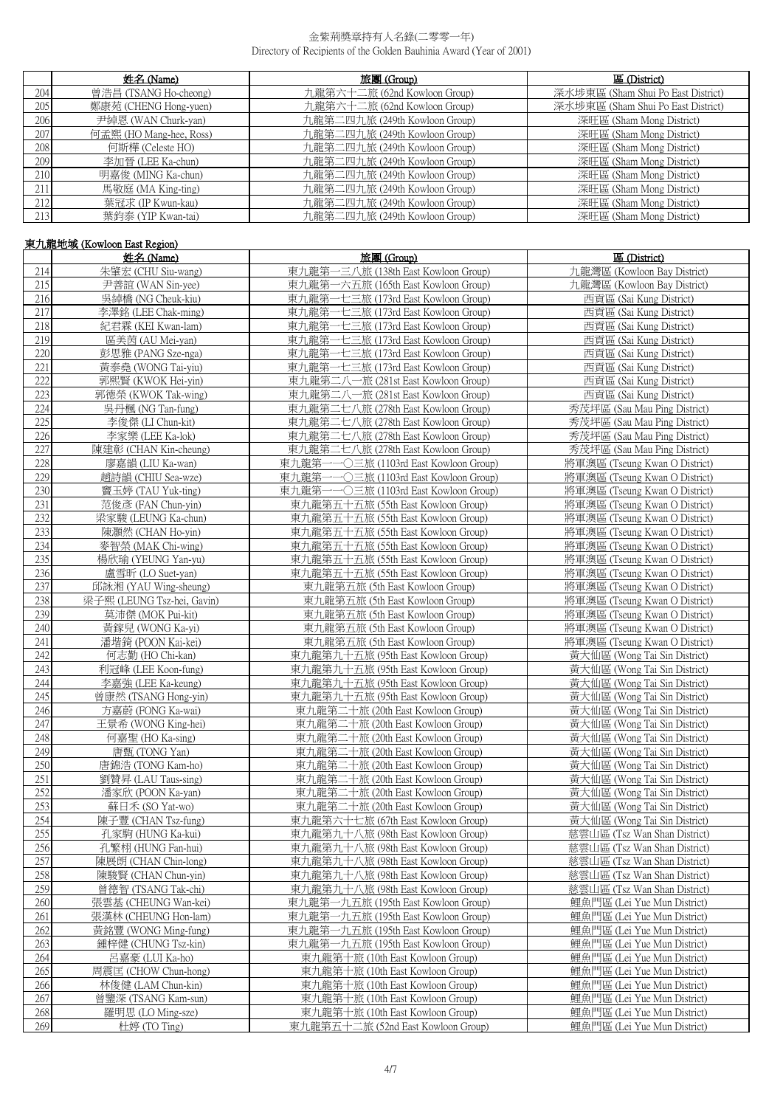|                  | 姓名 (Name)               | 旅團 (Group)                    | 區 (District)                       |
|------------------|-------------------------|-------------------------------|------------------------------------|
| 204              | 曾浩昌 (TSANG Ho-cheong)   | 九龍第六十二旅 (62nd Kowloon Group)  | 深水埗東區 (Sham Shui Po East District) |
| 205              | 鄭康苑 (CHENG Hong-yuen)   | 九龍第六十二旅 (62nd Kowloon Group)  | 深水埗東區 (Sham Shui Po East District) |
| 206              | 尹綽恩 (WAN Churk-yan)     | 九龍第二四九旅 (249th Kowloon Group) | 深旺區 (Sham Mong District)           |
| 207              | 何孟熙 (HO Mang-hee, Ross) | 九龍第二四九旅 (249th Kowloon Group) | 深旺區 (Sham Mong District)           |
| 208 <sub>1</sub> | 何斯樺 (Celeste HO)        | 九龍第二四九旅 (249th Kowloon Group) | 深旺區 (Sham Mong District)           |
| 209              | 李加晉 (LEE Ka-chun)       | 九龍第二四九旅 (249th Kowloon Group) | 深旺區 (Sham Mong District)           |
| 210              | 明嘉俊 (MING Ka-chun)      | 九龍第二四九旅 (249th Kowloon Group) | 深旺區 (Sham Mong District)           |
| 211              | 馬敬庭 (MA King-ting)      | 九龍第二四九旅 (249th Kowloon Group) | 深旺區 (Sham Mong District)           |
| 212              | 葉冠求 (IP Kwun-kau)       | 九龍第二四九旅 (249th Kowloon Group) | 深旺區 (Sham Mong District)           |
| 213 <sub>1</sub> | 葉鈞泰 (YIP Kwan-tai)      | 九龍第二四九旅 (249th Kowloon Group) | 深旺區 (Sham Mong District)           |

# 東九龍地域 (Kowloon East Region)

|     | 姓名 (Name)                  | 旅團 (Group)                               | 區 (District)                  |
|-----|----------------------------|------------------------------------------|-------------------------------|
| 214 | 朱肇宏 (CHU Siu-wang)         | 東九龍第-<br>一三八旅 (138th East Kowloon Group) | 九龍灣區 (Kowloon Bay District)   |
| 215 | 尹善誼 (WAN Sin-yee)          | 東九龍第一六五旅 (165th East Kowloon Group)      | 九龍灣區 (Kowloon Bay District)   |
| 216 | 吳綽橋 (NG Cheuk-kiu)         | 東九龍第一七三旅 (173rd East Kowloon Group)      | 西貢區 (Sai Kung District)       |
| 217 | 李澤銘 (LEE Chak-ming)        | 東九龍第一七三旅 (173rd East Kowloon Group)      | 西貢區 (Sai Kung District)       |
| 218 | 紀君霖 (KEI Kwan-lam)         | 東九龍第一七三旅 (173rd East Kowloon Group)      | 西貢區 (Sai Kung District)       |
| 219 | 區美茵 (AU Mei-yan)           | 東九龍第一七三旅 (173rd East Kowloon Group)      | 西貢區 (Sai Kung District)       |
| 220 | 彭思雅 (PANG Sze-nga)         | 東九龍第一七三旅 (173rd East Kowloon Group)      | 西貢區 (Sai Kung District)       |
| 221 | 黃泰堯 (WONG Tai-yiu)         | 東九龍第一七三旅 (173rd East Kowloon Group)      | 西貢區 (Sai Kung District)       |
| 222 | 郭熙賢 (KWOK Hei-yin)         | 東九龍第二八一旅 (281st East Kowloon Group)      | 西貢區 (Sai Kung District)       |
| 223 | 郭德榮 (KWOK Tak-wing)        | 東九龍第二八一旅 (281st East Kowloon Group)      | 西貢區 (Sai Kung District)       |
| 224 | 吳丹楓 (NG Tan-fung)          | 東九龍第二七八旅 (278th East Kowloon Group)      | 秀茂坪區 (Sau Mau Ping District)  |
| 225 | 李俊傑 (LI Chun-kit)          | 東九龍第二七八旅 (278th East Kowloon Group)      | 秀茂坪區 (Sau Mau Ping District)  |
| 226 | 李家樂 (LEE Ka-lok)           | 東九龍第二七八旅 (278th East Kowloon Group)      | 秀茂坪區 (Sau Mau Ping District)  |
| 227 | 陳建彰 (CHAN Kin-cheung)      | 東九龍第二七八旅 (278th East Kowloon Group)      | 秀茂坪區 (Sau Mau Ping District)  |
| 228 |                            | 東九龍第-                                    |                               |
|     | 廖嘉韻 (LIU Ka-wan)           |                                          | 將軍澳區 (Tseung Kwan O District) |
| 229 | 趙詩韻 (CHIU Sea-wze)         | 東九龍第-                                    | 將軍澳區 (Tseung Kwan O District) |
| 230 | 竇玉婷 (TAU Yuk-ting)         | 東九龍第-                                    | 將軍澳區 (Tseung Kwan O District) |
| 231 | 范俊彥 (FAN Chun-yin)         | 東九龍第五十五旅 (55th East Kowloon Group)       | 將軍澳區 (Tseung Kwan O District) |
| 232 | 梁家駿 (LEUNG Ka-chun)        | 東九龍第五十五旅 (55th East Kowloon Group)       | 將軍澳區 (Tseung Kwan O District) |
| 233 | 陳灝然 (CHAN Ho-yin)          | 東九龍第五十五旅 (55th East Kowloon Group)       | 將軍澳區 (Tseung Kwan O District) |
| 234 | 麥智榮 (MAK Chi-wing)         | 東九龍第五十五旅 (55th East Kowloon Group)       | 將軍澳區 (Tseung Kwan O District) |
| 235 | 楊欣瑜 (YEUNG Yan-yu)         | 東九龍第五十五旅 (55th East Kowloon Group)       | 將軍澳區 (Tseung Kwan O District) |
| 236 | 盧雪昕 (LO Suet-yan)          | 東九龍第五十五旅 (55th East Kowloon Group)       | 將軍澳區 (Tseung Kwan O District) |
| 237 | 邱詠湘 (YAU Wing-sheung)      | 東九龍第五旅 (5th East Kowloon Group)          | 將軍澳區 (Tseung Kwan O District) |
| 238 | 梁子熙 (LEUNG Tsz-hei, Gavin) | 東九龍第五旅 (5th East Kowloon Group)          | 將軍澳區 (Tseung Kwan O District) |
| 239 | 莫沛傑 (MOK Pui-kit)          | 東九龍第五旅 (5th East Kowloon Group)          | 將軍澳區 (Tseung Kwan O District) |
| 240 | 黃鎵兒 (WONG Ka-yi)           | 東九龍第五旅 (5th East Kowloon Group)          | 將軍澳區 (Tseung Kwan O District) |
| 241 | 潘堦錡 (POON Kai-kei)         | 東九龍第五旅 (5th East Kowloon Group)          | 將軍澳區 (Tseung Kwan O District) |
| 242 | 何志勤 (HO Chi-kan)           | 東九龍第九十五旅 (95th East Kowloon Group)       | 黃大仙區 (Wong Tai Sin District)  |
| 243 | 利冠峰 (LEE Koon-fung)        | 東九龍第九十五旅 (95th East Kowloon Group)       | 黃大仙區 (Wong Tai Sin District)  |
| 244 | 李嘉強 (LEE Ka-keung)         | 東九龍第九十五旅 (95th East Kowloon Group)       | 黃大仙區 (Wong Tai Sin District)  |
| 245 | 曾康然 (TSANG Hong-yin)       | 東九龍第九十五旅 (95th East Kowloon Group)       | 黃大仙區 (Wong Tai Sin District)  |
| 246 | 方嘉蔚 (FONG Ka-wai)          | 東九龍第二十旅 (20th East Kowloon Group)        | 黃大仙區 (Wong Tai Sin District)  |
| 247 | 王景希 (WONG King-hei)        | 東九龍第二十旅 (20th East Kowloon Group)        | 黃大仙區 (Wong Tai Sin District)  |
| 248 | 何嘉聖 (HO Ka-sing)           | 東九龍第二十旅 (20th East Kowloon Group)        | 黃大仙區 (Wong Tai Sin District)  |
| 249 | 唐甄 (TONG Yan)              | 東九龍第二十旅 (20th East Kowloon Group)        | 黃大仙區 (Wong Tai Sin District)  |
| 250 | 唐錦浩 (TONG Kam-ho)          | 東九龍第二十旅 (20th East Kowloon Group)        | 黃大仙區 (Wong Tai Sin District)  |
| 251 | 劉贊昇 (LAU Taus-sing)        | 東九龍第二十旅 (20th East Kowloon Group)        | 黃大仙區 (Wong Tai Sin District)  |
| 252 | 潘家欣 (POON Ka-yan)          | 東九龍第二十旅 (20th East Kowloon Group)        | 黃大仙區 (Wong Tai Sin District)  |
| 253 | 蘇日禾 (SO Yat-wo)            | 東九龍第二十旅 (20th East Kowloon Group)        | 黃大仙區 (Wong Tai Sin District)  |
| 254 | 陳子豐 (CHAN Tsz-fung)        | 東九龍第六十七旅 (67th East Kowloon Group)       | 黃大仙區 (Wong Tai Sin District)  |
| 255 | 孔家駒 (HUNG Ka-kui)          | 東九龍第九十八旅 (98th East Kowloon Group)       | 慈雲山區 (Tsz Wan Shan District)  |
| 256 | 孔繁栩 (HUNG Fan-hui)         | 東九龍第九十八旅 (98th East Kowloon Group)       | 慈雲山區 (Tsz Wan Shan District)  |
| 257 | 陳展朗 (CHAN Chin-long)       | 東九龍第九十八旅 (98th East Kowloon Group)       | 慈雲山區 (Tsz Wan Shan District)  |
| 258 | 陳駿賢 (CHAN Chun-yin)        | 東九龍第九十八旅 (98th East Kowloon Group)       | 慈雲山區 (Tsz Wan Shan District)  |
| 259 | 曾德智 (TSANG Tak-chi)        | 東九龍第九十八旅 (98th East Kowloon Group)       | 慈雲山區 (Tsz Wan Shan District)  |
| 260 | 張雲基 (CHEUNG Wan-kei)       | 東九龍第一九五旅 (195th East Kowloon Group)      | 鯉魚門區 (Lei Yue Mun District)   |
| 261 | 張漢林 (CHEUNG Hon-lam)       | 東九龍第一九五旅 (195th East Kowloon Group)      | 鯉魚門區 (Lei Yue Mun District)   |
| 262 | 黃銘豐 (WONG Ming-fung)       | 東九龍第一九五旅 (195th East Kowloon Group)      | 鯉魚門區 (Lei Yue Mun District)   |
| 263 | 鍾梓健 (CHUNG Tsz-kin)        | 東九龍第一九五旅 (195th East Kowloon Group)      | 鯉魚門區 (Lei Yue Mun District)   |
| 264 | 呂嘉豪 (LUI Ka-ho)            | 東九龍第十旅 (10th East Kowloon Group)         | 鯉魚門區 (Lei Yue Mun District)   |
| 265 | 周震匡 (CHOW Chun-hong)       | 東九龍第十旅 (10th East Kowloon Group)         | 鯉魚門區 (Lei Yue Mun District)   |
| 266 | 林俊健 (LAM Chun-kin)         | 東九龍第十旅 (10th East Kowloon Group)         | 鯉魚門區 (Lei Yue Mun District)   |
| 267 | 曾鑒深 (TSANG Kam-sun)        | 東九龍第十旅 (10th East Kowloon Group)         | 鯉魚門區 (Lei Yue Mun District)   |
| 268 | 羅明思 (LO Ming-sze)          | 東九龍第十旅 (10th East Kowloon Group)         | 鯉魚門區 (Lei Yue Mun District)   |
| 269 | 杜婷 (TO Ting)               | 東九龍第五十二旅 (52nd East Kowloon Group)       | 鯉魚門區 (Lei Yue Mun District)   |
|     |                            |                                          |                               |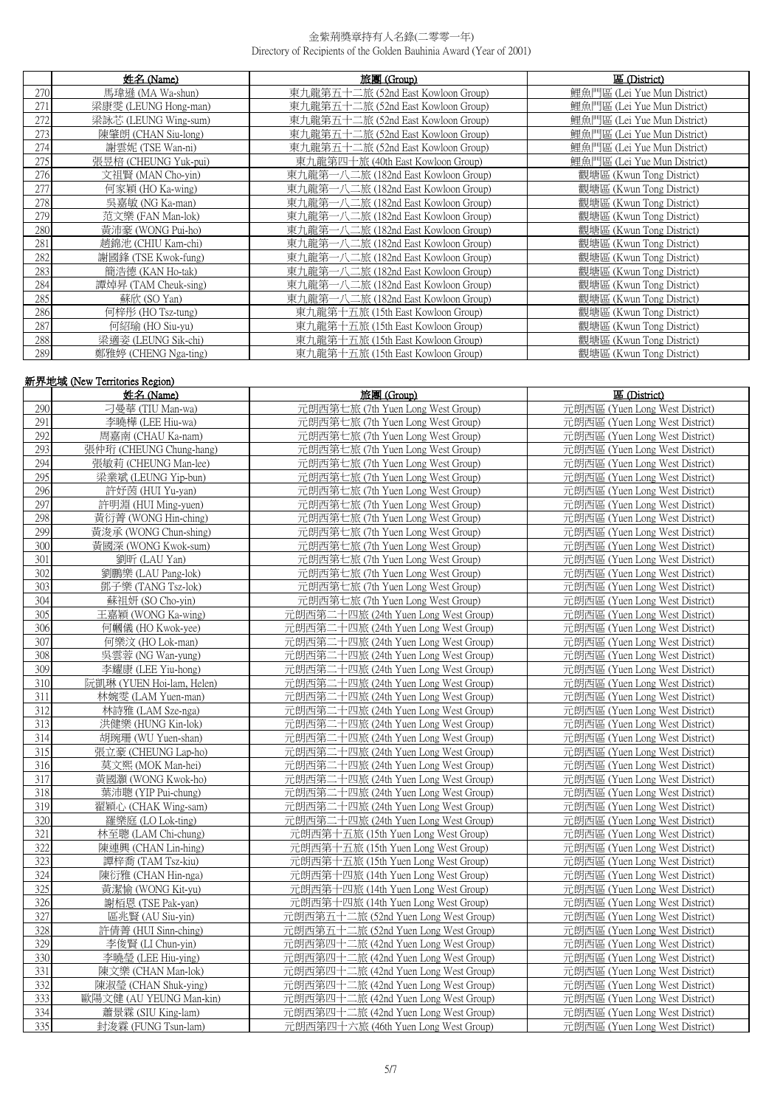|     | 姓名 (Name)            | 旅團 (Group)                          | 區 (District)                |
|-----|----------------------|-------------------------------------|-----------------------------|
| 270 | 馬瑋遜 (MA Wa-shun)     | 東九龍第五十二旅 (52nd East Kowloon Group)  | 鯉魚門區 (Lei Yue Mun District) |
| 271 | 梁康雯 (LEUNG Hong-man) | 東九龍第五十二旅 (52nd East Kowloon Group)  | 鯉魚門區 (Lei Yue Mun District) |
| 272 | 梁詠芯 (LEUNG Wing-sum) | 東九龍第五十二旅 (52nd East Kowloon Group)  | 鯉魚門區 (Lei Yue Mun District) |
| 273 | 陳肇朗 (CHAN Siu-long)  | 東九龍第五十二旅 (52nd East Kowloon Group)  | 鯉魚門區 (Lei Yue Mun District) |
| 274 | 謝雲妮 (TSE Wan-ni)     | 東九龍第五十二旅 (52nd East Kowloon Group)  | 鯉魚門區 (Lei Yue Mun District) |
| 275 | 張昱棓 (CHEUNG Yuk-pui) | 東九龍第四十旅 (40th East Kowloon Group)   | 鯉魚門區 (Lei Yue Mun District) |
| 276 | 文祖賢 (MAN Cho-yin)    | 東九龍第一八二旅 (182nd East Kowloon Group) | 觀塘區 (Kwun Tong District)    |
| 277 | 何家穎 (HO Ka-wing)     | 東九龍第一八二旅 (182nd East Kowloon Group) | 觀塘區 (Kwun Tong District)    |
| 278 | 吳嘉敏 (NG Ka-man)      | 東九龍第一八二旅 (182nd East Kowloon Group) | 觀塘區 (Kwun Tong District)    |
| 279 | 范文樂 (FAN Man-lok)    | 東九龍第一八二旅 (182nd East Kowloon Group) | 觀塘區 (Kwun Tong District)    |
| 280 | 黃沛豪 (WONG Pui-ho)    | 東九龍第一八二旅 (182nd East Kowloon Group) | 觀塘區 (Kwun Tong District)    |
| 281 | 趙錦池 (CHIU Kam-chi)   | 東九龍第一八二旅 (182nd East Kowloon Group) | 觀塘區 (Kwun Tong District)    |
| 282 | 謝國鋒 (TSE Kwok-fung)  | 東九龍第一八二旅 (182nd East Kowloon Group) | 觀塘區 (Kwun Tong District)    |
| 283 | 簡浩德 (KAN Ho-tak)     | 東九龍第一八二旅 (182nd East Kowloon Group) | 觀塘區 (Kwun Tong District)    |
| 284 | 譚焯昇 (TAM Cheuk-sing) | 東九龍第一八二旅 (182nd East Kowloon Group) | 觀塘區 (Kwun Tong District)    |
| 285 | 蘇欣 (SO Yan)          | 東九龍第一八二旅 (182nd East Kowloon Group) | 觀塘區 (Kwun Tong District)    |
| 286 | 何梓彤 (HO Tsz-tung)    | 東九龍第十五旅 (15th East Kowloon Group)   | 觀塘區 (Kwun Tong District)    |
| 287 | 何紹瑜 (HO Siu-yu)      | 東九龍第十五旅 (15th East Kowloon Group)   | 觀塘區 (Kwun Tong District)    |
| 288 | 梁適姿 (LEUNG Sik-chi)  | 東九龍第十五旅 (15th East Kowloon Group)   | 觀塘區 (Kwun Tong District)    |
| 289 | 鄭雅婷 (CHENG Nga-ting) | 東九龍第十五旅 (15th East Kowloon Group)   | 觀塘區 (Kwun Tong District)    |

|     | 新界地域 (New Territories Region) |                                      |                                |
|-----|-------------------------------|--------------------------------------|--------------------------------|
|     | 姓名 (Name)                     | 旅團 (Group)                           | 區 (District)                   |
| 290 | 刁曼華 (TIU Man-wa)              | 元朗西第七旅 (7th Yuen Long West Group)    | 元朗西區 (Yuen Long West District) |
| 291 | 李曉樺 (LEE Hiu-wa)              | 元朗西第七旅 (7th Yuen Long West Group)    | 元朗西區 (Yuen Long West District) |
| 292 | 周嘉南 (CHAU Ka-nam)             | 元朗西第七旅 (7th Yuen Long West Group)    | 元朗西區 (Yuen Long West District) |
| 293 | 張仲珩 (CHEUNG Chung-hang)       | 元朗西第七旅 (7th Yuen Long West Group)    | 元朗西區 (Yuen Long West District) |
| 294 | 張敏莉 (CHEUNG Man-lee)          | 元朗西第七旅 (7th Yuen Long West Group)    | 元朗西區 (Yuen Long West District) |
| 295 | 梁業斌 (LEUNG Yip-bun)           | 元朗西第七旅 (7th Yuen Long West Group)    | 元朗西區 (Yuen Long West District) |
| 296 | 許妤茵 (HUI Yu-yan)              | 元朗西第七旅 (7th Yuen Long West Group)    | 元朗西區 (Yuen Long West District) |
| 297 | 許明淵 (HUI Ming-yuen)           | 元朗西第七旅 (7th Yuen Long West Group)    | 元朗西區 (Yuen Long West District) |
| 298 | 黃衍菁 (WONG Hin-ching)          | 元朗西第七旅 (7th Yuen Long West Group)    | 元朗西區 (Yuen Long West District) |
| 299 | 黃浚承 (WONG Chun-shing)         | 元朗西第七旅 (7th Yuen Long West Group)    | 元朗西區 (Yuen Long West District) |
| 300 | 黃國深 (WONG Kwok-sum)           | 元朗西第七旅 (7th Yuen Long West Group)    | 元朗西區 (Yuen Long West District) |
| 301 | 劉昕 (LAU Yan)                  | 元朗西第七旅 (7th Yuen Long West Group)    | 元朗西區 (Yuen Long West District) |
| 302 | 劉鵬樂 (LAU Pang-lok)            | 元朗西第七旅 (7th Yuen Long West Group)    | 元朗西區 (Yuen Long West District) |
| 303 | 鄧子樂 (TANG Tsz-lok)            | 元朗西第七旅 (7th Yuen Long West Group)    | 元朗西區 (Yuen Long West District) |
| 304 | 蘇祖妍 (SO Cho-vin)              | 元朗西第七旅 (7th Yuen Long West Group)    | 元朗西區 (Yuen Long West District) |
| 305 | 王嘉穎 (WONG Ka-wing)            | 元朗西第二十四旅 (24th Yuen Long West Group) | 元朗西區 (Yuen Long West District) |
| 306 | 何幗儀 (HO Kwok-yee)             | 元朗西第二十四旅 (24th Yuen Long West Group) | 元朗西區 (Yuen Long West District) |
| 307 | 何樂汶 (HO Lok-man)              | 元朗西第二十四旅 (24th Yuen Long West Group) | 元朗西區 (Yuen Long West District) |
| 308 | 吳雲蓉 (NG Wan-yung)             | 元朗西第二十四旅 (24th Yuen Long West Group) | 元朗西區 (Yuen Long West District) |
| 309 | 李耀康 (LEE Yiu-hong)            | 元朗西第二十四旅 (24th Yuen Long West Group) | 元朗西區 (Yuen Long West District) |
| 310 | 阮凱琳 (YUEN Hoi-lam, Helen)     | 元朗西第二十四旅 (24th Yuen Long West Group) | 元朗西區 (Yuen Long West District) |
| 311 | 林婉雯 (LAM Yuen-man)            | 元朗西第二十四旅 (24th Yuen Long West Group) | 元朗西區 (Yuen Long West District) |
| 312 | 林詩雅 (LAM Sze-nga)             | 元朗西第二十四旅 (24th Yuen Long West Group) | 元朗西區 (Yuen Long West District) |
| 313 | 洪健樂 (HUNG Kin-lok)            | 元朗西第二十四旅 (24th Yuen Long West Group) | 元朗西區 (Yuen Long West District) |
| 314 | 胡琬珊 (WU Yuen-shan)            | 元朗西第二十四旅 (24th Yuen Long West Group) | 元朗西區 (Yuen Long West District) |
| 315 | 張立豪 (CHEUNG Lap-ho)           | 元朗西第二十四旅 (24th Yuen Long West Group) | 元朗西區 (Yuen Long West District) |
| 316 | 莫文熙 (MOK Man-hei)             | 元朗西第二十四旅 (24th Yuen Long West Group) | 元朗西區 (Yuen Long West District) |
| 317 | 黃國灝 (WONG Kwok-ho)            | 元朗西第二十四旅 (24th Yuen Long West Group) | 元朗西區 (Yuen Long West District) |
| 318 | 葉沛聰 (YIP Pui-chung)           | 元朗西第二十四旅 (24th Yuen Long West Group) | 元朗西區 (Yuen Long West District) |
| 319 | 翟穎心 (CHAK Wing-sam)           | 元朗西第二十四旅 (24th Yuen Long West Group) | 元朗西區 (Yuen Long West District) |
| 320 | 羅樂庭 (LO Lok-ting)             | 元朗西第二十四旅 (24th Yuen Long West Group) | 元朗西區 (Yuen Long West District) |
| 321 | 林至聰 (LAM Chi-chung)           | 元朗西第十五旅 (15th Yuen Long West Group)  | 元朗西區 (Yuen Long West District) |
| 322 | 陳連興 (CHAN Lin-hing)           | 元朗西第十五旅 (15th Yuen Long West Group)  | 元朗西區 (Yuen Long West District) |
| 323 | 譚梓喬 (TAM Tsz-kiu)             | 元朗西第十五旅 (15th Yuen Long West Group)  | 元朗西區 (Yuen Long West District) |
| 324 | 陳衍雅 (CHAN Hin-nga)            | 元朗西第十四旅 (14th Yuen Long West Group)  | 元朗西區 (Yuen Long West District) |
| 325 | 黃潔愉 (WONG Kit-yu)             | 元朗西第十四旅 (14th Yuen Long West Group)  | 元朗西區 (Yuen Long West District) |
| 326 | 謝栢恩 (TSE Pak-yan)             | 元朗西第十四旅 (14th Yuen Long West Group)  | 元朗西區 (Yuen Long West District) |
| 327 | 區兆賢 (AU Siu-yin)              | 元朗西第五十二旅 (52nd Yuen Long West Group) | 元朗西區 (Yuen Long West District) |
| 328 | 許倩菁 (HUI Sinn-ching)          | 元朗西第五十二旅 (52nd Yuen Long West Group) | 元朗西區 (Yuen Long West District) |
| 329 | 李俊賢 (LI Chun-yin)             | 元朗西第四十二旅 (42nd Yuen Long West Group) | 元朗西區 (Yuen Long West District) |
| 330 | 李曉瑩 (LEE Hiu-ying)            | 元朗西第四十二旅 (42nd Yuen Long West Group) | 元朗西區 (Yuen Long West District) |
| 331 | 陳文樂 (CHAN Man-lok)            | 元朗西第四十二旅 (42nd Yuen Long West Group) | 元朗西區 (Yuen Long West District) |
| 332 | 陳淑瑩 (CHAN Shuk-ying)          | 元朗西第四十二旅 (42nd Yuen Long West Group) | 元朗西區 (Yuen Long West District) |
| 333 | 歐陽文健 (AU YEUNG Man-kin)       | 元朗西第四十二旅 (42nd Yuen Long West Group) | 元朗西區 (Yuen Long West District) |
| 334 | 蕭景霖 (SIU King-lam)            | 元朗西第四十二旅 (42nd Yuen Long West Group) | 元朗西區 (Yuen Long West District) |
| 335 | 封浚霖 (FUNG Tsun-lam)           | 元朗西第四十六旅 (46th Yuen Long West Group) | 元朗西區 (Yuen Long West District) |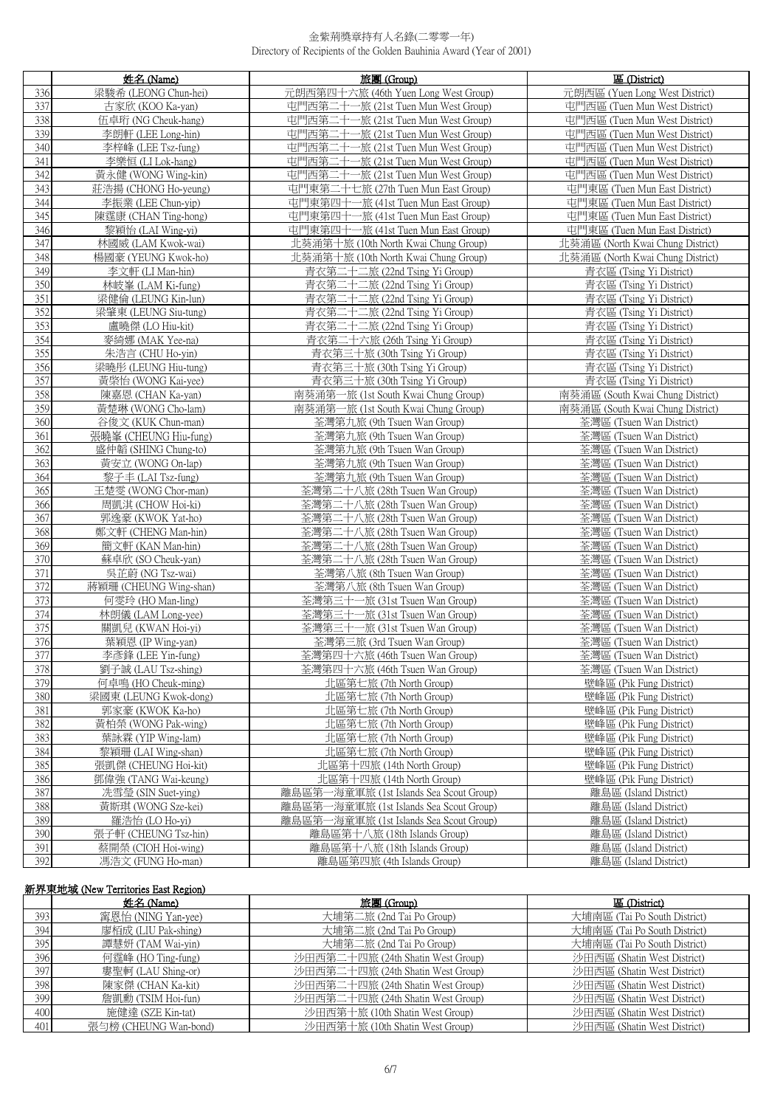|            | 姓名 (Name)                                     | 旅團 (Group)                                                 | 區 (District)                                         |
|------------|-----------------------------------------------|------------------------------------------------------------|------------------------------------------------------|
| 336        | 梁駿希 (LEONG Chun-hei)                          | 元朗西第四十六旅 (46th Yuen Long West Group)                       | 元朗西區 (Yuen Long West District)                       |
| 337        | 古家欣 (KOO Ka-yan)                              | 屯門西第二十一旅 (21st Tuen Mun West Group)                        | 屯門西區 (Tuen Mun West District)                        |
| 338        | 伍卓珩 (NG Cheuk-hang)                           | 屯門西第二十一旅 (21st Tuen Mun West Group)                        | 屯門西區 (Tuen Mun West District)                        |
| 339        | 李朗軒 (LEE Long-hin)                            | 屯門西第二十一旅 (21st Tuen Mun West Group)                        | 屯門西區 (Tuen Mun West District)                        |
| 340        | 李梓峰 (LEE Tsz-fung)                            | 屯門西第二十一旅 (21st Tuen Mun West Group)                        | 屯門西區 (Tuen Mun West District)                        |
| 341        | 李樂恒 (LI Lok-hang)                             | 屯門西第二十一旅 (21st Tuen Mun West Group)                        | 屯門西區 (Tuen Mun West District)                        |
| 342        | 黃永健 (WONG Wing-kin)                           | 屯門西第二十一旅 (21st Tuen Mun West Group)                        | 屯門西區 (Tuen Mun West District)                        |
| 343        | 莊浩揚 (CHONG Ho-yeung)                          | 屯門東第二十七旅 (27th Tuen Mun East Group)                        | 屯門東區 (Tuen Mun East District)                        |
| 344        | 李振業 (LEE Chun-yip)                            | 屯門東第四十一旅 (41st Tuen Mun East Group)                        | 屯門東區 (Tuen Mun East District)                        |
| 345        | 陳霆康 (CHAN Ting-hong)                          | 屯門東第四十一旅 (41st Tuen Mun East Group)                        | 屯門東區 (Tuen Mun East District)                        |
| 346        | 黎穎怡 (LAI Wing-vi)                             | 屯門東第四十一旅 (41st Tuen Mun East Group)                        | 屯門東區 (Tuen Mun East District)                        |
| 347        | 林國威 (LAM Kwok-wai)                            | 北葵涌第十旅 (10th North Kwai Chung Group)                       | 北葵涌區 (North Kwai Chung District)                     |
| 348        | 楊國豪 (YEUNG Kwok-ho)                           | 北葵涌第十旅 (10th North Kwai Chung Group)                       | 北葵涌區 (North Kwai Chung District)                     |
| 349        | 李文軒 (LI Man-hin)                              | 青衣第二十二旅 (22nd Tsing Yi Group)                              | 青衣區 (Tsing Yi District)                              |
| 350        | 林岐峯 (LAM Ki-fung)                             | 青衣第二十二旅 (22nd Tsing Yi Group)                              | 青衣區 (Tsing Yi District)                              |
| 351        | 梁健倫 (LEUNG Kin-lun)                           | 青衣第二十二旅 (22nd Tsing Yi Group)                              | 青衣區 (Tsing Yi District)                              |
| 352        | 梁肇東 (LEUNG Siu-tung)                          | 青衣第二十二旅 (22nd Tsing Yi Group)                              | 青衣區 (Tsing Yi District)                              |
| 353        | 盧曉傑 (LO Hiu-kit)                              | 青衣第二十二旅 (22nd Tsing Yi Group)                              | 青衣區 (Tsing Yi District)                              |
| 354        | 麥綺娜 (MAK Yee-na)                              | 青衣第二十六旅 (26th Tsing Yi Group)                              | 青衣區 (Tsing Yi District)                              |
| 355        | 朱浩言 (CHU Ho-yin)                              | 青衣第三十旅 (30th Tsing Yi Group)                               | 青衣區 (Tsing Yi District)                              |
| 356        | 梁曉彤 (LEUNG Hiu-tung)                          | 青衣第三十旅 (30th Tsing Yi Group)                               | 青衣區 (Tsing Yi District)                              |
| 357        | 黃棨怡 (WONG Kai-yee)                            | 青衣第三十旅 (30th Tsing Yi Group)                               | 青衣區 (Tsing Yi District)                              |
| 358        | 陳嘉恩 (CHAN Ka-yan)                             | 南葵涌第一旅 (1st South Kwai Chung Group)                        | 南葵涌區 (South Kwai Chung District)                     |
| 359        | 黃楚琳 (WONG Cho-lam)                            | 南葵涌第一旅 (1st South Kwai Chung Group)                        | 南葵涌區 (South Kwai Chung District)                     |
| 360        | 谷俊文 (KUK Chun-man)                            | 荃灣第九旅 (9th Tsuen Wan Group)                                | 荃灣區 (Tsuen Wan District)                             |
| 361<br>362 | 張曉峯 (CHEUNG Hiu-fung)<br>盛仲韜 (SHING Chung-to) | 荃灣第九旅 (9th Tsuen Wan Group)<br>荃灣第九旅 (9th Tsuen Wan Group) | 荃灣區 (Tsuen Wan District)<br>荃灣區 (Tsuen Wan District) |
| 363        | 黃安立 (WONG On-lap)                             | 荃灣第九旅 (9th Tsuen Wan Group)                                | 荃灣區 (Tsuen Wan District)                             |
| 364        | 黎子丰 (LAI Tsz-fung)                            | 荃灣第九旅 (9th Tsuen Wan Group)                                | 荃灣區 (Tsuen Wan District)                             |
| 365        | 王楚雯 (WONG Chor-man)                           | 荃灣第二十八旅 (28th Tsuen Wan Group)                             | 荃灣區 (Tsuen Wan District)                             |
| 366        | 周凱淇 (CHOW Hoi-ki)                             | 荃灣第二十八旅 (28th Tsuen Wan Group)                             | 荃灣區 (Tsuen Wan District)                             |
| 367        | 郭逸豪 (KWOK Yat-ho)                             | 荃灣第二十八旅 (28th Tsuen Wan Group)                             | 荃灣區 (Tsuen Wan District)                             |
| 368        | 鄭文軒 (CHENG Man-hin)                           | 荃灣第二十八旅 (28th Tsuen Wan Group)                             | 荃灣區 (Tsuen Wan District)                             |
| 369        | 簡文軒 (KAN Man-hin)                             | 荃灣第二十八旅 (28th Tsuen Wan Group)                             | 荃灣區 (Tsuen Wan District)                             |
| 370        | 蘇卓欣 (SO Cheuk-yan)                            | 荃灣第二十八旅 (28th Tsuen Wan Group)                             | 荃灣區 (Tsuen Wan District)                             |
| 371        | 吳芷蔚 (NG Tsz-wai)                              | 荃灣第八旅 (8th Tsuen Wan Group)                                | 荃灣區 (Tsuen Wan District)                             |
| 372        | 蔣穎珊 (CHEUNG Wing-shan)                        | 荃灣第八旅 (8th Tsuen Wan Group)                                | 荃灣區 (Tsuen Wan District)                             |
| 373        | 何零玲 (HO Man-ling)                             | 荃灣第三十一旅 (31st Tsuen Wan Group)                             | 荃灣區 (Tsuen Wan District)                             |
| 374        | 林朗儀 (LAM Long-yee)                            | 荃灣第三十一旅 (31st Tsuen Wan Group)                             | 荃灣區 (Tsuen Wan District)                             |
| 375        | 關凱兒 (KWAN Hoi-yi)                             | 荃灣第三十一旅 (31st Tsuen Wan Group)                             | 荃灣區 (Tsuen Wan District)                             |
| 376        | 葉穎恩 (IP Wing-yan)                             | 荃灣第三旅 (3rd Tsuen Wan Group)                                | 荃灣區 (Tsuen Wan District)                             |
| 377        | 李彥鋒 (LEE Yin-fung)                            | 荃灣第四十六旅 (46th Tsuen Wan Group)                             | 荃灣區 (Tsuen Wan District)                             |
| 378<br>379 | 劉子誠 (LAU Tsz-shing)<br>何卓鳴 (HO Cheuk-ming)    | 荃灣第四十六旅 (46th Tsuen Wan Group)<br>北區第七旅 (7th North Group)  | 荃灣區 (Tsuen Wan District)                             |
| 380        | 梁國東 (LEUNG Kwok-dong)                         | 北區第七旅 (7th North Group)                                    | 壁峰區 (Pik Fung District)<br>壁峰區 (Pik Fung District)   |
| 381        | 郭家豪 (KWOK Ka-ho)                              | 北區第七旅 (7th North Group)                                    | 壁峰區 (Pik Fung District)                              |
| 382        | 黃柏榮 (WONG Pak-wing)                           | 北區第七旅 (7th North Group)                                    | 壁峰區 (Pik Fung District)                              |
| 383        | 葉詠霖 (YIP Wing-lam)                            | 北區第七旅 (7th North Group)                                    | 壁峰區 (Pik Fung District)                              |
| 384        | 黎穎珊 (LAI Wing-shan)                           | 北區第七旅 (7th North Group)                                    | 壁峰區 (Pik Fung District)                              |
| 385        | 張凱傑 (CHEUNG Hoi-kit)                          | 北區第十四旅 (14th North Group)                                  | 壁峰區 (Pik Fung District)                              |
| 386        | 鄧偉強 (TANG Wai-keung)                          | 北區第十四旅 (14th North Group)                                  | 壁峰區 (Pik Fung District)                              |
| 387        | 冼雪瑩 (SIN Suet-ying)                           | 離島區第一海童軍旅 (1st Islands Sea Scout Group)                    | 離島區 (Island District)                                |
| 388        | 黃斯琪 (WONG Sze-kei)                            | 離島區第一海童軍旅 (1st Islands Sea Scout Group)                    | 離島區 (Island District)                                |
| 389        | 羅浩怡 (LO Ho-yi)                                | 離島區第一海童軍旅 (1st Islands Sea Scout Group)                    | 離島區 (Island District)                                |
| 390        | 張子軒 (CHEUNG Tsz-hin)                          | 離島區第十八旅 (18th Islands Group)                               | 離島區 (Island District)                                |
| 391        | 蔡開榮 (CIOH Hoi-wing)                           | 離島區第十八旅 (18th Islands Group)                               | 離島區 (Island District)                                |
| 392        | 馮浩文 (FUNG Ho-man)                             | 離島區第四旅 (4th Islands Group)                                 | 離島區 (Island District)                                |

# 新界東地域 (New Territories East Region)

|     | 姓名 (Name)             | 旅團 (Group)                        | 區 (District)                 |
|-----|-----------------------|-----------------------------------|------------------------------|
| 393 | 窜恩怡 (NING Yan-yee)    | 大埔第二旅 (2nd Tai Po Group)          | 大埔南區 (Tai Po South District) |
| 394 | 廖栢成 (LIU Pak-shing)   | 大埔第二旅 (2nd Tai Po Group)          | 大埔南區 (Tai Po South District) |
| 395 | 譚慧妍 (TAM Wai-yin)     | 大埔第二旅 (2nd Tai Po Group)          | 大埔南區 (Tai Po South District) |
| 396 | 何霆峰 (HO Ting-fung)    | 沙田西第二十四旅 (24th Shatin West Group) | 沙田西區 (Shatin West District)  |
| 397 | 婁聖軻 (LAU Shing-or)    | 沙田西第二十四旅 (24th Shatin West Group) | 沙田西區 (Shatin West District)  |
| 398 | 陳家傑 (CHAN Ka-kit)     | 沙田西第二十四旅 (24th Shatin West Group) | 沙田西區 (Shatin West District)  |
| 399 | 詹凱勳 (TSIM Hoi-fun)    | 沙田西第二十四旅 (24th Shatin West Group) | 沙田西區 (Shatin West District)  |
| 400 | 施健達 (SZE Kin-tat)     | 沙田西第十旅 (10th Shatin West Group)   | 沙田西區 (Shatin West District)  |
| 401 | 張勻榜 (CHEUNG Wan-bond) | 沙田西第十旅 (10th Shatin West Group)   | 沙田西區 (Shatin West District)  |